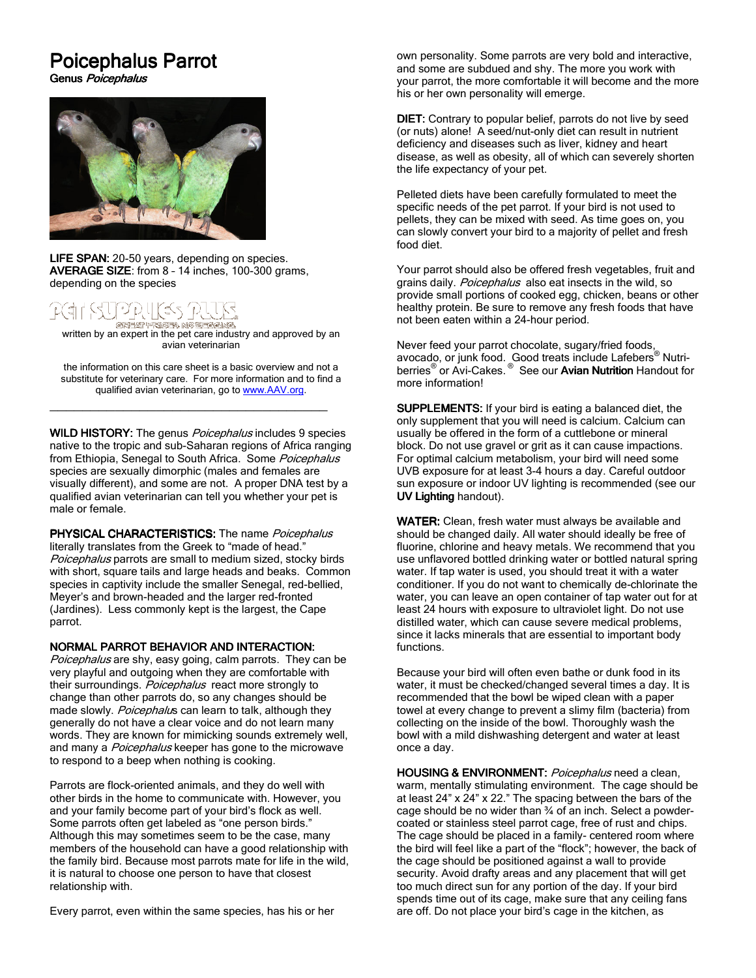# Poicephalus Parrot

Genus Poicephalus



LIFE SPAN: 20-50 years, depending on species. AVERAGE SIZE: from 8 - 14 inches, 100-300 grams, depending on the species

## 비끄럽네(45 'B,

**জেসকলে কাৰ্য কেন্দ্ৰ কাৰ্য কৰিব পৰিচালক ক**<br>written by an expert in the pet care industry and approved by an avian veterinarian

the information on this care sheet is a basic overview and not a substitute for veterinary care. For more information and to find a qualified avian veterinarian, go to www.AAV.org.

\_\_\_\_\_\_\_\_\_\_\_\_\_\_\_\_\_\_\_\_\_\_\_\_\_\_\_\_\_\_\_\_\_\_

WILD HISTORY: The genus *Poicephalus* includes 9 species native to the tropic and sub-Saharan regions of Africa ranging from Ethiopia, Senegal to South Africa. Some Poicephalus species are sexually dimorphic (males and females are visually different), and some are not. A proper DNA test by a qualified avian veterinarian can tell you whether your pet is male or female.

**PHYSICAL CHARACTERISTICS:** The name *Poicephalus* literally translates from the Greek to "made of head." Poicephalus parrots are small to medium sized, stocky birds with short, square tails and large heads and beaks. Common species in captivity include the smaller Senegal, red-bellied, Meyer's and brown-headed and the larger red-fronted (Jardines). Less commonly kept is the largest, the Cape parrot.

### NORMAL PARROT BEHAVIOR AND INTERACTION:

Poicephalus are shy, easy going, calm parrots. They can be very playful and outgoing when they are comfortable with their surroundings. Poicephalus react more strongly to change than other parrots do, so any changes should be made slowly. Poicephalus can learn to talk, although they generally do not have a clear voice and do not learn many words. They are known for mimicking sounds extremely well, and many a Poicephalus keeper has gone to the microwave to respond to a beep when nothing is cooking.

Parrots are flock-oriented animals, and they do well with other birds in the home to communicate with. However, you and your family become part of your bird's flock as well. Some parrots often get labeled as "one person birds." Although this may sometimes seem to be the case, many members of the household can have a good relationship with the family bird. Because most parrots mate for life in the wild, it is natural to choose one person to have that closest relationship with.

Every parrot, even within the same species, has his or her

own personality. Some parrots are very bold and interactive, and some are subdued and shy. The more you work with your parrot, the more comfortable it will become and the more his or her own personality will emerge.

DIET: Contrary to popular belief, parrots do not live by seed (or nuts) alone! A seed/nut-only diet can result in nutrient deficiency and diseases such as liver, kidney and heart disease, as well as obesity, all of which can severely shorten the life expectancy of your pet.

Pelleted diets have been carefully formulated to meet the specific needs of the pet parrot. If your bird is not used to pellets, they can be mixed with seed. As time goes on, you can slowly convert your bird to a majority of pellet and fresh food diet.

Your parrot should also be offered fresh vegetables, fruit and grains daily. Poicephalus also eat insects in the wild, so provide small portions of cooked egg, chicken, beans or other healthy protein. Be sure to remove any fresh foods that have not been eaten within a 24-hour period.

Never feed your parrot chocolate, sugary/fried foods, avocado, or junk food. Good treats include Lafebers<sup>®</sup> Nutri-<br>berries<sup>®</sup> or Avi-Cakes. <sup>®</sup> See our **Avian Nutrition** Handout for more information!

SUPPLEMENTS: If your bird is eating a balanced diet, the only supplement that you will need is calcium. Calcium can usually be offered in the form of a cuttlebone or mineral block. Do not use gravel or grit as it can cause impactions. For optimal calcium metabolism, your bird will need some UVB exposure for at least 3-4 hours a day. Careful outdoor sun exposure or indoor UV lighting is recommended (see our UV Lighting handout).

WATER: Clean, fresh water must always be available and should be changed daily. All water should ideally be free of fluorine, chlorine and heavy metals. We recommend that you use unflavored bottled drinking water or bottled natural spring water. If tap water is used, you should treat it with a water conditioner. If you do not want to chemically de-chlorinate the water, you can leave an open container of tap water out for at least 24 hours with exposure to ultraviolet light. Do not use distilled water, which can cause severe medical problems, since it lacks minerals that are essential to important body functions.

Because your bird will often even bathe or dunk food in its water, it must be checked/changed several times a day. It is recommended that the bowl be wiped clean with a paper towel at every change to prevent a slimy film (bacteria) from collecting on the inside of the bowl. Thoroughly wash the bowl with a mild dishwashing detergent and water at least once a day.

HOUSING & ENVIRONMENT: Poicephalus need a clean, warm, mentally stimulating environment. The cage should be at least 24" x 24" x 22." The spacing between the bars of the cage should be no wider than ¾ of an inch. Select a powdercoated or stainless steel parrot cage, free of rust and chips. The cage should be placed in a family- centered room where the bird will feel like a part of the "flock"; however, the back of the cage should be positioned against a wall to provide security. Avoid drafty areas and any placement that will get too much direct sun for any portion of the day. If your bird spends time out of its cage, make sure that any ceiling fans are off. Do not place your bird's cage in the kitchen, as